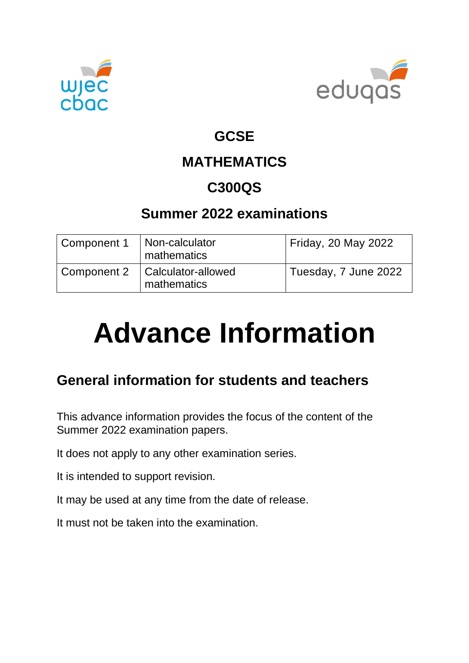



#### **GCSE**

## **MATHEMATICS**

### **C300QS**

#### **Summer 2022 examinations**

| Component 1 | Non-calculator<br><sup>1</sup> mathematics     | Friday, 20 May 2022  |
|-------------|------------------------------------------------|----------------------|
| Component 2 | Calculator-allowed<br><sup>'</sup> mathematics | Tuesday, 7 June 2022 |

# **Advance Information**

### **General information for students and teachers**

This advance information provides the focus of the content of the Summer 2022 examination papers.

It does not apply to any other examination series.

It is intended to support revision.

It may be used at any time from the date of release.

It must not be taken into the examination.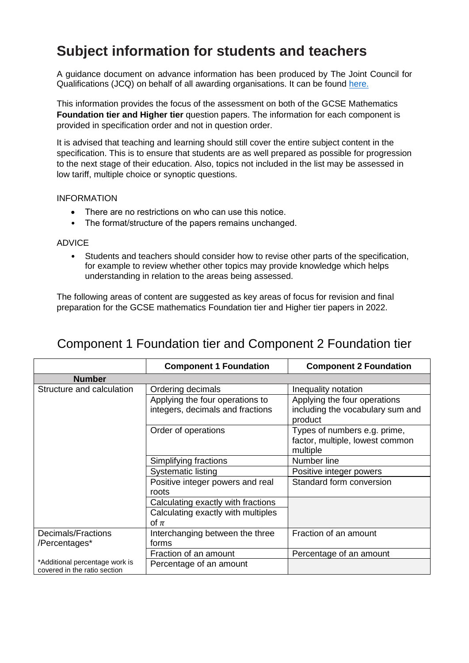#### **Subject information for students and teachers**

A guidance document on advance information has been produced by The Joint Council for Qualifications (JCQ) on behalf of all awarding organisations. It can be found [here.](https://www.jcq.org.uk/wp-content/uploads/2021/10/Advance-Information-for-General-Qualifications-2021-22.pdf)

This information provides the focus of the assessment on both of the GCSE Mathematics **Foundation tier and Higher tier** question papers. The information for each component is provided in specification order and not in question order.

It is advised that teaching and learning should still cover the entire subject content in the specification. This is to ensure that students are as well prepared as possible for progression to the next stage of their education. Also, topics not included in the list may be assessed in low tariff, multiple choice or synoptic questions.

#### INFORMATION

- There are no restrictions on who can use this notice.
- The format/structure of the papers remains unchanged.

#### ADVICE

• Students and teachers should consider how to revise other parts of the specification, for example to review whether other topics may provide knowledge which helps understanding in relation to the areas being assessed.

The following areas of content are suggested as key areas of focus for revision and final preparation for the GCSE mathematics Foundation tier and Higher tier papers in 2022.

|                                                                | <b>Component 1 Foundation</b>                                       | <b>Component 2 Foundation</b>                                               |
|----------------------------------------------------------------|---------------------------------------------------------------------|-----------------------------------------------------------------------------|
| <b>Number</b>                                                  |                                                                     |                                                                             |
| Structure and calculation                                      | Ordering decimals                                                   | Inequality notation                                                         |
|                                                                | Applying the four operations to<br>integers, decimals and fractions | Applying the four operations<br>including the vocabulary sum and<br>product |
|                                                                | Order of operations                                                 | Types of numbers e.g. prime,<br>factor, multiple, lowest common<br>multiple |
|                                                                | Simplifying fractions                                               | Number line                                                                 |
|                                                                | Systematic listing                                                  | Positive integer powers                                                     |
|                                                                | Positive integer powers and real<br>roots                           | Standard form conversion                                                    |
|                                                                | Calculating exactly with fractions                                  |                                                                             |
|                                                                | Calculating exactly with multiples<br>of $\pi$                      |                                                                             |
| Decimals/Fractions<br>/Percentages*                            | Interchanging between the three<br>forms                            | Fraction of an amount                                                       |
|                                                                | Fraction of an amount                                               | Percentage of an amount                                                     |
| *Additional percentage work is<br>covered in the ratio section | Percentage of an amount                                             |                                                                             |

#### Component 1 Foundation tier and Component 2 Foundation tier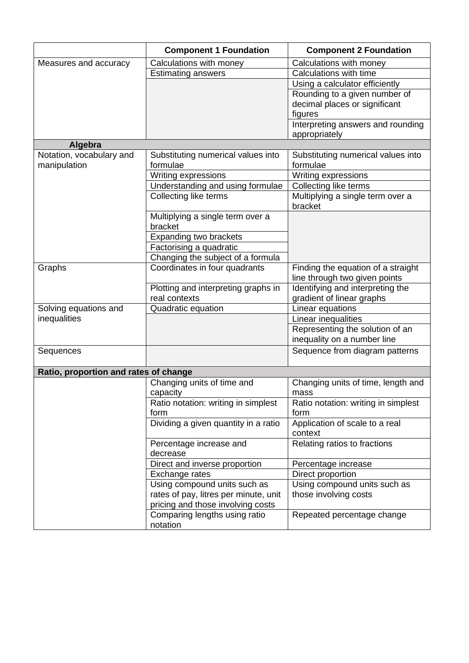|                                       | <b>Component 1 Foundation</b>                             | <b>Component 2 Foundation</b>                  |
|---------------------------------------|-----------------------------------------------------------|------------------------------------------------|
| Measures and accuracy                 | Calculations with money                                   | Calculations with money                        |
|                                       | <b>Estimating answers</b>                                 | Calculations with time                         |
|                                       |                                                           | Using a calculator efficiently                 |
|                                       |                                                           | Rounding to a given number of                  |
|                                       |                                                           | decimal places or significant                  |
|                                       |                                                           | figures                                        |
|                                       |                                                           | Interpreting answers and rounding              |
|                                       |                                                           | appropriately                                  |
| Algebra<br>Notation, vocabulary and   |                                                           |                                                |
|                                       | Substituting numerical values into<br>formulae            | Substituting numerical values into<br>formulae |
| manipulation                          | Writing expressions                                       |                                                |
|                                       |                                                           | Writing expressions                            |
|                                       | Understanding and using formulae<br>Collecting like terms | Collecting like terms                          |
|                                       |                                                           | Multiplying a single term over a<br>bracket    |
|                                       | Multiplying a single term over a                          |                                                |
|                                       | bracket                                                   |                                                |
|                                       | <b>Expanding two brackets</b>                             |                                                |
|                                       | Factorising a quadratic                                   |                                                |
|                                       | Changing the subject of a formula                         |                                                |
| Graphs                                | Coordinates in four quadrants                             | Finding the equation of a straight             |
|                                       |                                                           | line through two given points                  |
|                                       | Plotting and interpreting graphs in                       | Identifying and interpreting the               |
|                                       | real contexts                                             | gradient of linear graphs                      |
| Solving equations and                 | Quadratic equation                                        | Linear equations                               |
| inequalities                          |                                                           | Linear inequalities                            |
|                                       |                                                           | Representing the solution of an                |
|                                       |                                                           | inequality on a number line                    |
| Sequences                             |                                                           | Sequence from diagram patterns                 |
|                                       |                                                           |                                                |
| Ratio, proportion and rates of change | Changing units of time and                                | Changing units of time, length and             |
|                                       | capacity                                                  |                                                |
|                                       | Ratio notation: writing in simplest                       | mass<br>Ratio notation: writing in simplest    |
|                                       | form                                                      | form                                           |
|                                       | Dividing a given quantity in a ratio                      | Application of scale to a real                 |
|                                       |                                                           | context                                        |
|                                       | Percentage increase and                                   | Relating ratios to fractions                   |
|                                       | decrease                                                  |                                                |
|                                       | Direct and inverse proportion                             | Percentage increase                            |
|                                       | Exchange rates                                            | Direct proportion                              |
|                                       | Using compound units such as                              | Using compound units such as                   |
|                                       | rates of pay, litres per minute, unit                     | those involving costs                          |
|                                       | pricing and those involving costs                         |                                                |
|                                       | Comparing lengths using ratio                             | Repeated percentage change                     |
|                                       | notation                                                  |                                                |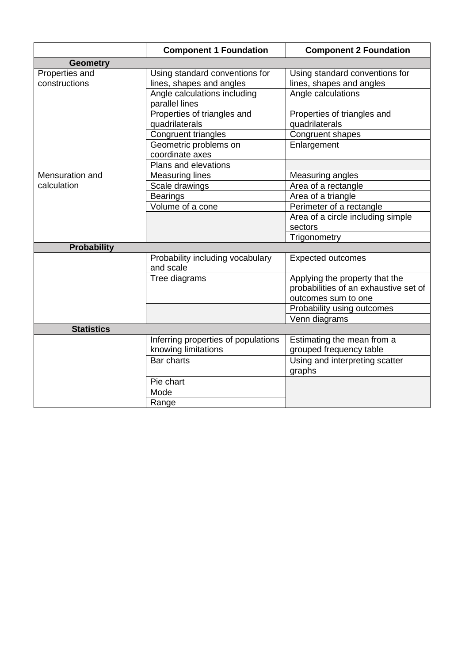|                                 | <b>Component 1 Foundation</b>                              | <b>Component 2 Foundation</b>                                                                  |
|---------------------------------|------------------------------------------------------------|------------------------------------------------------------------------------------------------|
| <b>Geometry</b>                 |                                                            |                                                                                                |
| Properties and<br>constructions | Using standard conventions for<br>lines, shapes and angles | Using standard conventions for<br>lines, shapes and angles                                     |
|                                 | Angle calculations including<br>parallel lines             | Angle calculations                                                                             |
|                                 | Properties of triangles and<br>quadrilaterals              | Properties of triangles and<br>quadrilaterals                                                  |
|                                 | Congruent triangles                                        | Congruent shapes                                                                               |
|                                 | Geometric problems on<br>coordinate axes                   | Enlargement                                                                                    |
|                                 | Plans and elevations                                       |                                                                                                |
| Mensuration and                 | <b>Measuring lines</b>                                     | Measuring angles                                                                               |
| calculation                     | Scale drawings                                             | Area of a rectangle                                                                            |
|                                 | <b>Bearings</b>                                            | Area of a triangle                                                                             |
|                                 | Volume of a cone                                           | Perimeter of a rectangle                                                                       |
|                                 |                                                            | Area of a circle including simple                                                              |
|                                 |                                                            | sectors                                                                                        |
|                                 |                                                            | Trigonometry                                                                                   |
| <b>Probability</b>              |                                                            |                                                                                                |
|                                 | Probability including vocabulary<br>and scale              | <b>Expected outcomes</b>                                                                       |
|                                 | Tree diagrams                                              | Applying the property that the<br>probabilities of an exhaustive set of<br>outcomes sum to one |
|                                 |                                                            | Probability using outcomes                                                                     |
|                                 |                                                            | Venn diagrams                                                                                  |
| <b>Statistics</b>               |                                                            |                                                                                                |
|                                 | Inferring properties of populations                        | Estimating the mean from a                                                                     |
|                                 | knowing limitations                                        | grouped frequency table                                                                        |
|                                 | Bar charts                                                 | Using and interpreting scatter<br>graphs                                                       |
|                                 | Pie chart                                                  |                                                                                                |
|                                 | Mode                                                       |                                                                                                |
|                                 | Range                                                      |                                                                                                |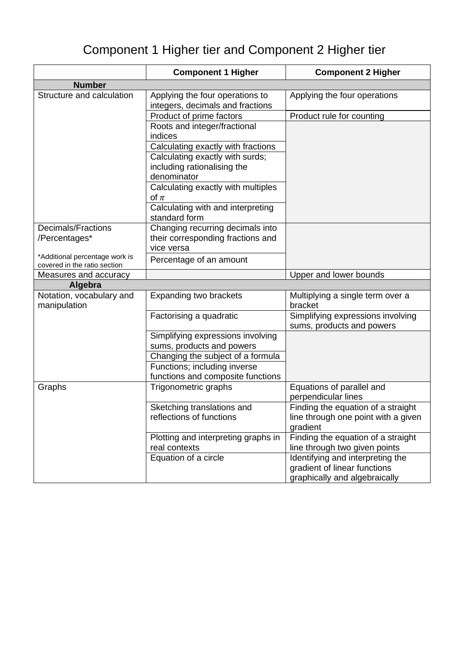## Component 1 Higher tier and Component 2 Higher tier

|                                                                | <b>Component 1 Higher</b>                                                           | <b>Component 2 Higher</b>                                                                         |
|----------------------------------------------------------------|-------------------------------------------------------------------------------------|---------------------------------------------------------------------------------------------------|
| <b>Number</b>                                                  |                                                                                     |                                                                                                   |
| Structure and calculation                                      | Applying the four operations to<br>integers, decimals and fractions                 | Applying the four operations                                                                      |
|                                                                | Product of prime factors                                                            | Product rule for counting                                                                         |
|                                                                | Roots and integer/fractional<br>indices                                             |                                                                                                   |
|                                                                | Calculating exactly with fractions                                                  |                                                                                                   |
|                                                                | Calculating exactly with surds;<br>including rationalising the<br>denominator       |                                                                                                   |
|                                                                | Calculating exactly with multiples<br>of $\pi$                                      |                                                                                                   |
|                                                                | Calculating with and interpreting<br>standard form                                  |                                                                                                   |
| Decimals/Fractions<br>/Percentages*                            | Changing recurring decimals into<br>their corresponding fractions and<br>vice versa |                                                                                                   |
| *Additional percentage work is<br>covered in the ratio section | Percentage of an amount                                                             |                                                                                                   |
| Measures and accuracy                                          |                                                                                     | Upper and lower bounds                                                                            |
| Algebra                                                        |                                                                                     |                                                                                                   |
| Notation, vocabulary and<br>manipulation                       | Expanding two brackets                                                              | Multiplying a single term over a<br>bracket                                                       |
|                                                                | Factorising a quadratic                                                             | Simplifying expressions involving<br>sums, products and powers                                    |
|                                                                | Simplifying expressions involving<br>sums, products and powers                      |                                                                                                   |
|                                                                | Changing the subject of a formula                                                   |                                                                                                   |
|                                                                | Functions; including inverse                                                        |                                                                                                   |
|                                                                | functions and composite functions                                                   |                                                                                                   |
| Graphs                                                         | Trigonometric graphs                                                                | Equations of parallel and<br>perpendicular lines                                                  |
|                                                                | Sketching translations and<br>reflections of functions                              | Finding the equation of a straight<br>line through one point with a given<br>gradient             |
|                                                                | Plotting and interpreting graphs in<br>real contexts                                | Finding the equation of a straight<br>line through two given points                               |
|                                                                | Equation of a circle                                                                | Identifying and interpreting the<br>gradient of linear functions<br>graphically and algebraically |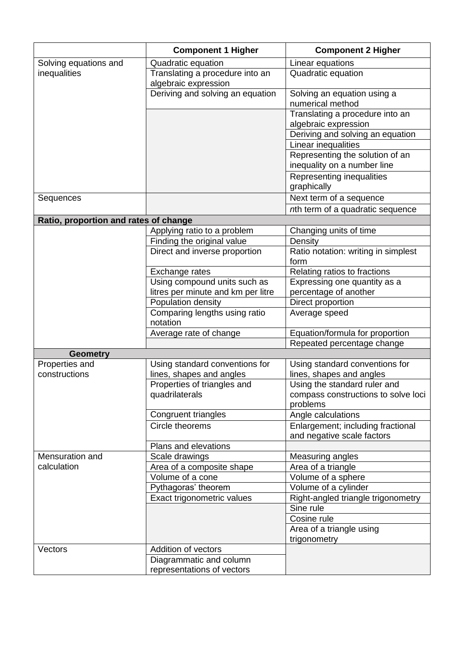|                                       | <b>Component 1 Higher</b>                               | <b>Component 2 Higher</b>                                      |
|---------------------------------------|---------------------------------------------------------|----------------------------------------------------------------|
| Solving equations and                 | Quadratic equation                                      | Linear equations                                               |
| inequalities                          | Translating a procedure into an<br>algebraic expression | Quadratic equation                                             |
|                                       | Deriving and solving an equation                        | Solving an equation using a<br>numerical method                |
|                                       |                                                         | Translating a procedure into an<br>algebraic expression        |
|                                       |                                                         | Deriving and solving an equation                               |
|                                       |                                                         | Linear inequalities                                            |
|                                       |                                                         | Representing the solution of an<br>inequality on a number line |
|                                       |                                                         | Representing inequalities<br>graphically                       |
| Sequences                             |                                                         | Next term of a sequence                                        |
|                                       |                                                         | nth term of a quadratic sequence                               |
| Ratio, proportion and rates of change |                                                         |                                                                |
|                                       | Applying ratio to a problem                             | Changing units of time                                         |
|                                       | Finding the original value                              | Density                                                        |
|                                       | Direct and inverse proportion                           | Ratio notation: writing in simplest<br>form                    |
|                                       | Exchange rates                                          | Relating ratios to fractions                                   |
|                                       | Using compound units such as                            | Expressing one quantity as a                                   |
|                                       | litres per minute and km per litre                      | percentage of another                                          |
|                                       | Population density                                      | Direct proportion                                              |
|                                       | Comparing lengths using ratio<br>notation               | Average speed                                                  |
|                                       | Average rate of change                                  | Equation/formula for proportion                                |
|                                       |                                                         | Repeated percentage change                                     |
| <b>Geometry</b>                       |                                                         |                                                                |
| Properties and<br>constructions       | Using standard conventions for                          | Using standard conventions for                                 |
|                                       | lines, shapes and angles<br>Properties of triangles and | lines, shapes and angles<br>Using the standard ruler and       |
|                                       | quadrilaterals                                          | compass constructions to solve loci                            |
|                                       |                                                         | problems                                                       |
|                                       | Congruent triangles                                     | Angle calculations                                             |
|                                       | Circle theorems                                         | Enlargement; including fractional                              |
|                                       |                                                         | and negative scale factors                                     |
|                                       | Plans and elevations                                    |                                                                |
| Mensuration and                       | Scale drawings                                          | Measuring angles                                               |
| calculation                           | Area of a composite shape                               | Area of a triangle                                             |
|                                       | Volume of a cone                                        | Volume of a sphere                                             |
|                                       | Pythagoras' theorem                                     | Volume of a cylinder                                           |
|                                       | Exact trigonometric values                              | Right-angled triangle trigonometry                             |
|                                       |                                                         | Sine rule                                                      |
|                                       |                                                         | Cosine rule                                                    |
|                                       |                                                         | Area of a triangle using                                       |
|                                       |                                                         | trigonometry                                                   |
| Vectors                               | Addition of vectors                                     |                                                                |
|                                       | Diagrammatic and column                                 |                                                                |
|                                       | representations of vectors                              |                                                                |